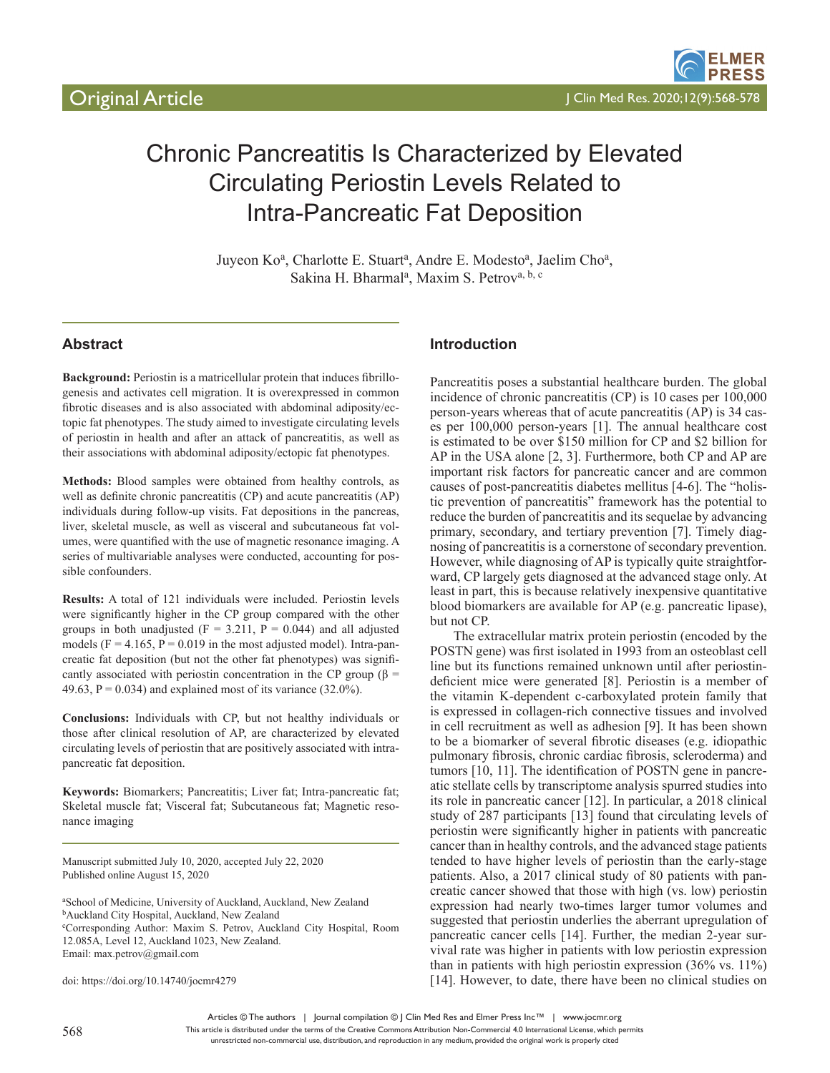# Chronic Pancreatitis Is Characterized by Elevated Circulating Periostin Levels Related to Intra-Pancreatic Fat Deposition

Juyeon Ko<sup>a</sup>, Charlotte E. Stuart<sup>a</sup>, Andre E. Modesto<sup>a</sup>, Jaelim Cho<sup>a</sup>, Sakina H. Bharmal<sup>a</sup>, Maxim S. Petrov<sup>a, b, c</sup>

## **Abstract**

**Background:** Periostin is a matricellular protein that induces fibrillogenesis and activates cell migration. It is overexpressed in common fibrotic diseases and is also associated with abdominal adiposity/ectopic fat phenotypes. The study aimed to investigate circulating levels of periostin in health and after an attack of pancreatitis, as well as their associations with abdominal adiposity/ectopic fat phenotypes.

**Methods:** Blood samples were obtained from healthy controls, as well as definite chronic pancreatitis (CP) and acute pancreatitis (AP) individuals during follow-up visits. Fat depositions in the pancreas, liver, skeletal muscle, as well as visceral and subcutaneous fat volumes, were quantified with the use of magnetic resonance imaging. A series of multivariable analyses were conducted, accounting for possible confounders.

**Results:** A total of 121 individuals were included. Periostin levels were significantly higher in the CP group compared with the other groups in both unadjusted ( $F = 3.211$ ,  $P = 0.044$ ) and all adjusted models ( $F = 4.165$ ,  $P = 0.019$  in the most adjusted model). Intra-pancreatic fat deposition (but not the other fat phenotypes) was significantly associated with periostin concentration in the CP group ( $\beta$  = 49.63,  $P = 0.034$ ) and explained most of its variance (32.0%).

**Conclusions:** Individuals with CP, but not healthy individuals or those after clinical resolution of AP, are characterized by elevated circulating levels of periostin that are positively associated with intrapancreatic fat deposition.

**Keywords:** Biomarkers; Pancreatitis; Liver fat; Intra-pancreatic fat; Skeletal muscle fat; Visceral fat; Subcutaneous fat; Magnetic resonance imaging

Manuscript submitted July 10, 2020, accepted July 22, 2020 Published online August 15, 2020

a School of Medicine, University of Auckland, Auckland, New Zealand <sup>b</sup>Auckland City Hospital, Auckland, New Zealand c Corresponding Author: Maxim S. Petrov, Auckland City Hospital, Room 12.085A, Level 12, Auckland 1023, New Zealand. Email: max.petrov@gmail.com

doi: https://doi.org/10.14740/jocmr4279

## **Introduction**

Pancreatitis poses a substantial healthcare burden. The global incidence of chronic pancreatitis (CP) is 10 cases per 100,000 person-years whereas that of acute pancreatitis (AP) is 34 cases per 100,000 person-years [1]. The annual healthcare cost is estimated to be over \$150 million for CP and \$2 billion for AP in the USA alone [2, 3]. Furthermore, both CP and AP are important risk factors for pancreatic cancer and are common causes of post-pancreatitis diabetes mellitus [4-6]. The "holistic prevention of pancreatitis" framework has the potential to reduce the burden of pancreatitis and its sequelae by advancing primary, secondary, and tertiary prevention [7]. Timely diagnosing of pancreatitis is a cornerstone of secondary prevention. However, while diagnosing of AP is typically quite straightforward, CP largely gets diagnosed at the advanced stage only. At least in part, this is because relatively inexpensive quantitative blood biomarkers are available for AP (e.g. pancreatic lipase), but not CP.

The extracellular matrix protein periostin (encoded by the POSTN gene) was first isolated in 1993 from an osteoblast cell line but its functions remained unknown until after periostindeficient mice were generated [8]. Periostin is a member of the vitamin K-dependent c-carboxylated protein family that is expressed in collagen-rich connective tissues and involved in cell recruitment as well as adhesion [9]. It has been shown to be a biomarker of several fibrotic diseases (e.g. idiopathic pulmonary fibrosis, chronic cardiac fibrosis, scleroderma) and tumors [10, 11]. The identification of POSTN gene in pancreatic stellate cells by transcriptome analysis spurred studies into its role in pancreatic cancer [12]. In particular, a 2018 clinical study of 287 participants [13] found that circulating levels of periostin were significantly higher in patients with pancreatic cancer than in healthy controls, and the advanced stage patients tended to have higher levels of periostin than the early-stage patients. Also, a 2017 clinical study of 80 patients with pancreatic cancer showed that those with high (vs. low) periostin expression had nearly two-times larger tumor volumes and suggested that periostin underlies the aberrant upregulation of pancreatic cancer cells [14]. Further, the median 2-year survival rate was higher in patients with low periostin expression than in patients with high periostin expression (36% vs. 11%) [14]. However, to date, there have been no clinical studies on

Articles © The authors | Journal compilation © J Clin Med Res and Elmer Press Inc™ | www.jocmr.org

This article is distributed under the terms of the Creative Commons Attribution Non-Commercial 4.0 International License, which permits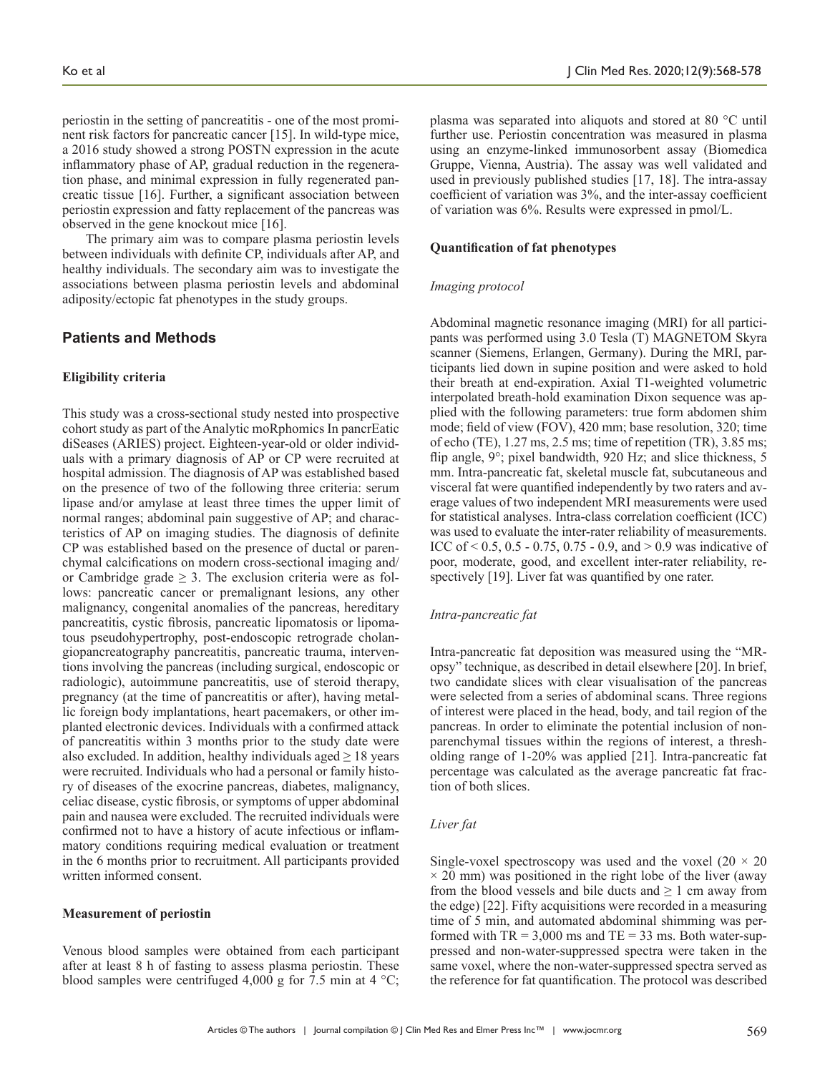periostin in the setting of pancreatitis - one of the most prominent risk factors for pancreatic cancer [15]. In wild-type mice, a 2016 study showed a strong POSTN expression in the acute inflammatory phase of AP, gradual reduction in the regeneration phase, and minimal expression in fully regenerated pancreatic tissue [16]. Further, a significant association between periostin expression and fatty replacement of the pancreas was observed in the gene knockout mice [16].

The primary aim was to compare plasma periostin levels between individuals with definite CP, individuals after AP, and healthy individuals. The secondary aim was to investigate the associations between plasma periostin levels and abdominal adiposity/ectopic fat phenotypes in the study groups.

## **Patients and Methods**

## **Eligibility criteria**

This study was a cross-sectional study nested into prospective cohort study as part of the Analytic moRphomics In pancrEatic diSeases (ARIES) project. Eighteen-year-old or older individuals with a primary diagnosis of AP or CP were recruited at hospital admission. The diagnosis of AP was established based on the presence of two of the following three criteria: serum lipase and/or amylase at least three times the upper limit of normal ranges; abdominal pain suggestive of AP; and characteristics of AP on imaging studies. The diagnosis of definite CP was established based on the presence of ductal or parenchymal calcifications on modern cross-sectional imaging and/ or Cambridge grade  $\geq$  3. The exclusion criteria were as follows: pancreatic cancer or premalignant lesions, any other malignancy, congenital anomalies of the pancreas, hereditary pancreatitis, cystic fibrosis, pancreatic lipomatosis or lipomatous pseudohypertrophy, post-endoscopic retrograde cholangiopancreatography pancreatitis, pancreatic trauma, interventions involving the pancreas (including surgical, endoscopic or radiologic), autoimmune pancreatitis, use of steroid therapy, pregnancy (at the time of pancreatitis or after), having metallic foreign body implantations, heart pacemakers, or other implanted electronic devices. Individuals with a confirmed attack of pancreatitis within 3 months prior to the study date were also excluded. In addition, healthy individuals aged  $\geq 18$  years were recruited. Individuals who had a personal or family history of diseases of the exocrine pancreas, diabetes, malignancy, celiac disease, cystic fibrosis, or symptoms of upper abdominal pain and nausea were excluded. The recruited individuals were confirmed not to have a history of acute infectious or inflammatory conditions requiring medical evaluation or treatment in the 6 months prior to recruitment. All participants provided written informed consent.

#### **Measurement of periostin**

Venous blood samples were obtained from each participant after at least 8 h of fasting to assess plasma periostin. These blood samples were centrifuged 4,000 g for 7.5 min at 4  $^{\circ}$ C;

plasma was separated into aliquots and stored at 80 °C until further use. Periostin concentration was measured in plasma using an enzyme-linked immunosorbent assay (Biomedica Gruppe, Vienna, Austria). The assay was well validated and used in previously published studies [17, 18]. The intra-assay coefficient of variation was 3%, and the inter-assay coefficient of variation was 6%. Results were expressed in pmol/L.

#### **Quantification of fat phenotypes**

#### *Imaging protocol*

Abdominal magnetic resonance imaging (MRI) for all participants was performed using 3.0 Tesla (T) MAGNETOM Skyra scanner (Siemens, Erlangen, Germany). During the MRI, participants lied down in supine position and were asked to hold their breath at end-expiration. Axial T1-weighted volumetric interpolated breath-hold examination Dixon sequence was applied with the following parameters: true form abdomen shim mode; field of view (FOV), 420 mm; base resolution, 320; time of echo (TE), 1.27 ms, 2.5 ms; time of repetition (TR), 3.85 ms; flip angle, 9°; pixel bandwidth, 920 Hz; and slice thickness, 5 mm. Intra-pancreatic fat, skeletal muscle fat, subcutaneous and visceral fat were quantified independently by two raters and average values of two independent MRI measurements were used for statistical analyses. Intra-class correlation coefficient (ICC) was used to evaluate the inter-rater reliability of measurements. ICC of  $\leq 0.5$ , 0.5 - 0.75, 0.75 - 0.9, and  $\geq 0.9$  was indicative of poor, moderate, good, and excellent inter-rater reliability, respectively [19]. Liver fat was quantified by one rater.

#### *Intra-pancreatic fat*

Intra-pancreatic fat deposition was measured using the "MRopsy" technique, as described in detail elsewhere [20]. In brief, two candidate slices with clear visualisation of the pancreas were selected from a series of abdominal scans. Three regions of interest were placed in the head, body, and tail region of the pancreas. In order to eliminate the potential inclusion of nonparenchymal tissues within the regions of interest, a thresholding range of 1-20% was applied [21]. Intra-pancreatic fat percentage was calculated as the average pancreatic fat fraction of both slices.

## *Liver fat*

Single-voxel spectroscopy was used and the voxel  $(20 \times 20)$  $\times$  20 mm) was positioned in the right lobe of the liver (away from the blood vessels and bile ducts and  $\geq 1$  cm away from the edge) [22]. Fifty acquisitions were recorded in a measuring time of 5 min, and automated abdominal shimming was performed with  $TR = 3,000$  ms and  $TE = 33$  ms. Both water-suppressed and non-water-suppressed spectra were taken in the same voxel, where the non-water-suppressed spectra served as the reference for fat quantification. The protocol was described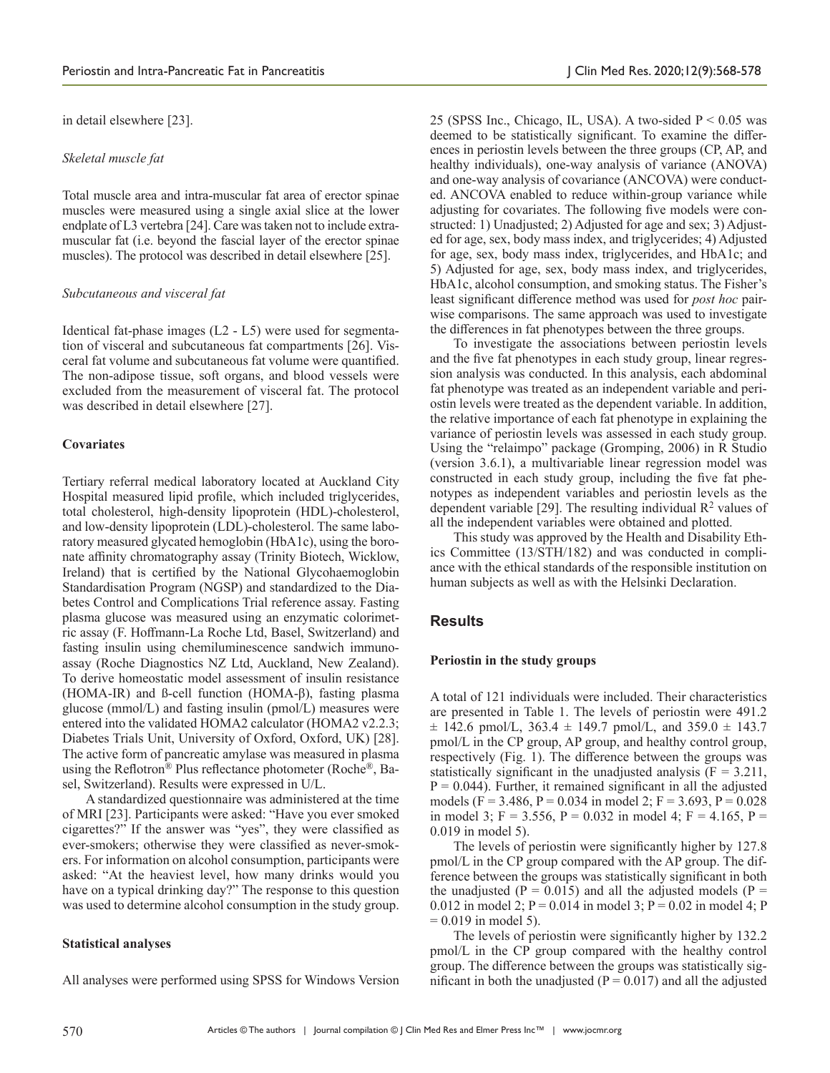in detail elsewhere [23].

## *Skeletal muscle fat*

Total muscle area and intra-muscular fat area of erector spinae muscles were measured using a single axial slice at the lower endplate of L3 vertebra [24]. Care was taken not to include extramuscular fat (i.e. beyond the fascial layer of the erector spinae muscles). The protocol was described in detail elsewhere [25].

#### *Subcutaneous and visceral fat*

Identical fat-phase images (L2 - L5) were used for segmentation of visceral and subcutaneous fat compartments [26]. Visceral fat volume and subcutaneous fat volume were quantified. The non-adipose tissue, soft organs, and blood vessels were excluded from the measurement of visceral fat. The protocol was described in detail elsewhere [27].

## **Covariates**

Tertiary referral medical laboratory located at Auckland City Hospital measured lipid profile, which included triglycerides, total cholesterol, high-density lipoprotein (HDL)-cholesterol, and low-density lipoprotein (LDL)-cholesterol. The same laboratory measured glycated hemoglobin (HbA1c), using the boronate affinity chromatography assay (Trinity Biotech, Wicklow, Ireland) that is certified by the National Glycohaemoglobin Standardisation Program (NGSP) and standardized to the Diabetes Control and Complications Trial reference assay. Fasting plasma glucose was measured using an enzymatic colorimetric assay (F. Hoffmann-La Roche Ltd, Basel, Switzerland) and fasting insulin using chemiluminescence sandwich immunoassay (Roche Diagnostics NZ Ltd, Auckland, New Zealand). To derive homeostatic model assessment of insulin resistance (HOMA-IR) and ß-cell function (HOMA-β), fasting plasma glucose (mmol/L) and fasting insulin (pmol/L) measures were entered into the validated HOMA2 calculator (HOMA2 v2.2.3; Diabetes Trials Unit, University of Oxford, Oxford, UK) [28]. The active form of pancreatic amylase was measured in plasma using the Reflotron<sup>®</sup> Plus reflectance photometer (Roche<sup>®</sup>, Basel, Switzerland). Results were expressed in U/L.

A standardized questionnaire was administered at the time of MRI [23]. Participants were asked: "Have you ever smoked cigarettes?" If the answer was "yes", they were classified as ever-smokers; otherwise they were classified as never-smokers. For information on alcohol consumption, participants were asked: "At the heaviest level, how many drinks would you have on a typical drinking day?" The response to this question was used to determine alcohol consumption in the study group.

## **Statistical analyses**

All analyses were performed using SPSS for Windows Version

25 (SPSS Inc., Chicago, IL, USA). A two-sided  $P < 0.05$  was deemed to be statistically significant. To examine the differences in periostin levels between the three groups (CP, AP, and healthy individuals), one-way analysis of variance (ANOVA) and one-way analysis of covariance (ANCOVA) were conducted. ANCOVA enabled to reduce within-group variance while adjusting for covariates. The following five models were constructed: 1) Unadjusted; 2) Adjusted for age and sex; 3) Adjusted for age, sex, body mass index, and triglycerides; 4) Adjusted for age, sex, body mass index, triglycerides, and HbA1c; and 5) Adjusted for age, sex, body mass index, and triglycerides, HbA1c, alcohol consumption, and smoking status. The Fisher's least significant difference method was used for *post hoc* pairwise comparisons. The same approach was used to investigate the differences in fat phenotypes between the three groups.

To investigate the associations between periostin levels and the five fat phenotypes in each study group, linear regression analysis was conducted. In this analysis, each abdominal fat phenotype was treated as an independent variable and periostin levels were treated as the dependent variable. In addition, the relative importance of each fat phenotype in explaining the variance of periostin levels was assessed in each study group. Using the "relaimpo" package (Gromping, 2006) in R Studio (version 3.6.1), a multivariable linear regression model was constructed in each study group, including the five fat phenotypes as independent variables and periostin levels as the dependent variable [29]. The resulting individual  $\mathbb{R}^2$  values of all the independent variables were obtained and plotted.

This study was approved by the Health and Disability Ethics Committee (13/STH/182) and was conducted in compliance with the ethical standards of the responsible institution on human subjects as well as with the Helsinki Declaration.

## **Results**

#### **Periostin in the study groups**

A total of 121 individuals were included. Their characteristics are presented in Table 1. The levels of periostin were 491.2  $\pm$  142.6 pmol/L, 363.4  $\pm$  149.7 pmol/L, and 359.0  $\pm$  143.7 pmol/L in the CP group, AP group, and healthy control group, respectively (Fig. 1). The difference between the groups was statistically significant in the unadjusted analysis  $(F = 3.211,$  $P = 0.044$ ). Further, it remained significant in all the adjusted models (F = 3.486, P = 0.034 in model 2; F = 3.693, P = 0.028 in model 3; F = 3.556, P = 0.032 in model 4; F = 4.165, P = 0.019 in model 5).

The levels of periostin were significantly higher by 127.8 pmol/L in the CP group compared with the AP group. The difference between the groups was statistically significant in both the unadjusted ( $P = 0.015$ ) and all the adjusted models ( $P =$ 0.012 in model 2;  $P = 0.014$  in model 3;  $P = 0.02$  in model 4; P  $= 0.019$  in model 5).

The levels of periostin were significantly higher by 132.2 pmol/L in the CP group compared with the healthy control group. The difference between the groups was statistically significant in both the unadjusted ( $P = 0.017$ ) and all the adjusted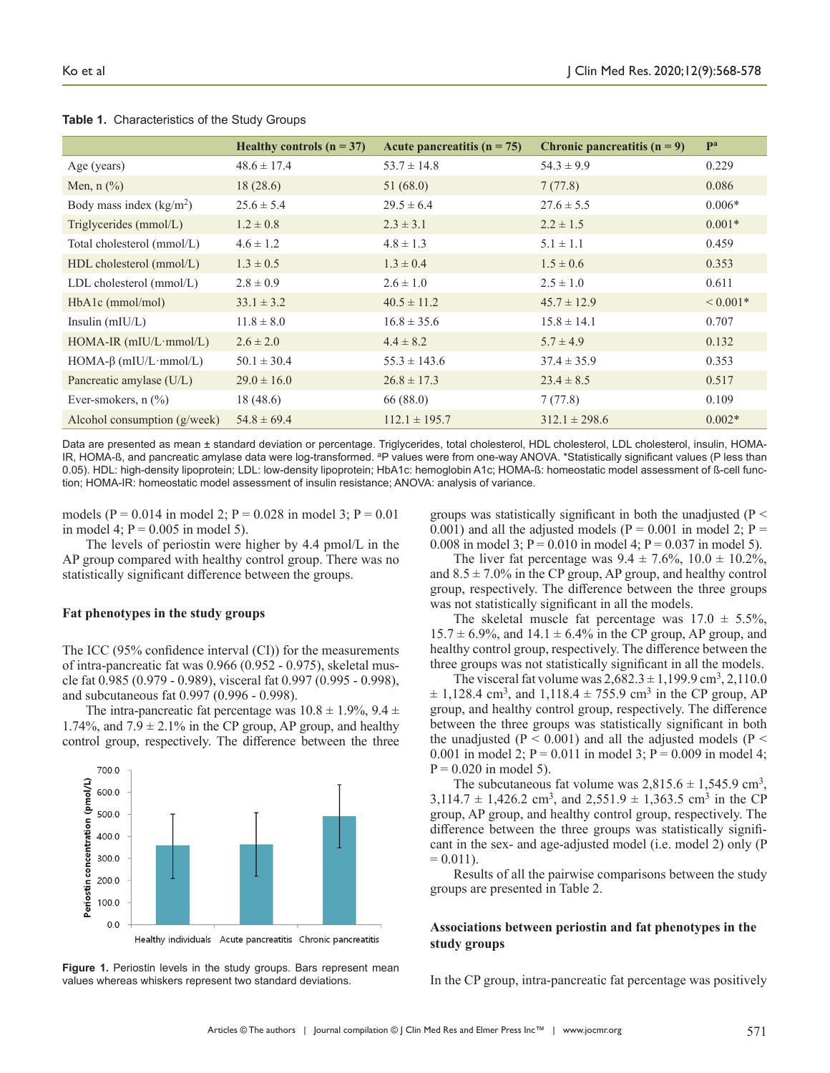|                                | Healthy controls $(n = 37)$ | Acute pancreatitis $(n = 75)$ | Chronic pancreatitis $(n = 9)$ | Pa           |
|--------------------------------|-----------------------------|-------------------------------|--------------------------------|--------------|
| Age (years)                    | $48.6 \pm 17.4$             | $53.7 \pm 14.8$               | $54.3 \pm 9.9$                 | 0.229        |
| Men, $n$ $\%$ )                | 18(28.6)                    | 51(68.0)                      | 7(77.8)                        | 0.086        |
| Body mass index $(kg/m2)$      | $25.6 \pm 5.4$              | $29.5 \pm 6.4$                | $27.6 \pm 5.5$                 | $0.006*$     |
| Triglycerides (mmol/L)         | $1.2 \pm 0.8$               | $2.3 \pm 3.1$                 | $2.2 \pm 1.5$                  | $0.001*$     |
| Total cholesterol (mmol/L)     | $4.6 \pm 1.2$               | $4.8 \pm 1.3$                 | $5.1 \pm 1.1$                  | 0.459        |
| HDL cholesterol (mmol/L)       | $1.3 \pm 0.5$               | $1.3 \pm 0.4$                 | $1.5 \pm 0.6$                  | 0.353        |
| $LDL$ cholesterol (mmol/ $L$ ) | $2.8 \pm 0.9$               | $2.6 \pm 1.0$                 | $2.5 \pm 1.0$                  | 0.611        |
| $HbA1c$ (mmol/mol)             | $33.1 \pm 3.2$              | $40.5 \pm 11.2$               | $45.7 \pm 12.9$                | ${}< 0.001*$ |
| Insulin $(mIU/L)$              | $11.8 \pm 8.0$              | $16.8 \pm 35.6$               | $15.8 \pm 14.1$                | 0.707        |
| $HOMA-IR$ (mIU/L·mmol/L)       | $2.6 \pm 2.0$               | $4.4 \pm 8.2$                 | $5.7 \pm 4.9$                  | 0.132        |
| $HOMA-\beta$ (mIU/L·mmol/L)    | $50.1 \pm 30.4$             | $55.3 \pm 143.6$              | $37.4 \pm 35.9$                | 0.353        |
| Pancreatic amylase (U/L)       | $29.0 \pm 16.0$             | $26.8 \pm 17.3$               | $23.4 \pm 8.5$                 | 0.517        |
| Ever-smokers, $n$ $(\%)$       | 18(48.6)                    | 66 (88.0)                     | 7(77.8)                        | 0.109        |
| Alcohol consumption $(g/week)$ | $54.8 \pm 69.4$             | $112.1 \pm 195.7$             | $312.1 \pm 298.6$              | $0.002*$     |

**Table 1.** Characteristics of the Study Groups

Data are presented as mean ± standard deviation or percentage. Triglycerides, total cholesterol, HDL cholesterol, LDL cholesterol, insulin, HOMA-IR, HOMA-ß, and pancreatic amylase data were log-transformed. <sup>a</sup>P values were from one-way ANOVA. \*Statistically significant values (P less than 0.05). HDL: high-density lipoprotein; LDL: low-density lipoprotein; HbA1c: hemoglobin A1c; HOMA-ß: homeostatic model assessment of ß-cell function; HOMA-IR: homeostatic model assessment of insulin resistance; ANOVA: analysis of variance.

models (P = 0.014 in model 2; P = 0.028 in model 3; P = 0.01 in model 4;  $P = 0.005$  in model 5).

The levels of periostin were higher by 4.4 pmol/L in the AP group compared with healthy control group. There was no statistically significant difference between the groups.

## **Fat phenotypes in the study groups**

The ICC (95% confidence interval (CI)) for the measurements of intra-pancreatic fat was 0.966 (0.952 - 0.975), skeletal muscle fat 0.985 (0.979 - 0.989), visceral fat 0.997 (0.995 - 0.998), and subcutaneous fat 0.997 (0.996 - 0.998).

The intra-pancreatic fat percentage was  $10.8 \pm 1.9\%$ ,  $9.4 \pm 1.9\%$ 1.74%, and  $7.9 \pm 2.1\%$  in the CP group, AP group, and healthy control group, respectively. The difference between the three



**Figure 1.** Periostin levels in the study groups. Bars represent mean values whereas whiskers represent two standard deviations.

groups was statistically significant in both the unadjusted ( $P \leq$ 0.001) and all the adjusted models ( $P = 0.001$  in model 2;  $P =$ 0.008 in model 3;  $P = 0.010$  in model 4;  $P = 0.037$  in model 5).

The liver fat percentage was  $9.4 \pm 7.6\%$ ,  $10.0 \pm 10.2\%$ , and  $8.5 \pm 7.0\%$  in the CP group, AP group, and healthy control group, respectively. The difference between the three groups was not statistically significant in all the models.

The skeletal muscle fat percentage was  $17.0 \pm 5.5\%,$  $15.7 \pm 6.9\%$ , and  $14.1 \pm 6.4\%$  in the CP group, AP group, and healthy control group, respectively. The difference between the three groups was not statistically significant in all the models.

The visceral fat volume was  $2,682.3 \pm 1,199.9 \text{ cm}^3, 2,110.0$  $\pm$  1,128.4 cm<sup>3</sup>, and 1,118.4  $\pm$  755.9 cm<sup>3</sup> in the CP group, AP group, and healthy control group, respectively. The difference between the three groups was statistically significant in both the unadjusted ( $P < 0.001$ ) and all the adjusted models ( $P <$ 0.001 in model 2;  $P = 0.011$  in model 3;  $P = 0.009$  in model 4;  $P = 0.020$  in model 5).

The subcutaneous fat volume was  $2,815.6 \pm 1,545.9$  cm<sup>3</sup>,  $3,114.7 \pm 1,426.2$  cm<sup>3</sup>, and  $2,551.9 \pm 1,363.5$  cm<sup>3</sup> in the CP group, AP group, and healthy control group, respectively. The difference between the three groups was statistically significant in the sex- and age-adjusted model (i.e. model 2) only (P  $= 0.011$ .

Results of all the pairwise comparisons between the study groups are presented in Table 2.

## **Associations between periostin and fat phenotypes in the study groups**

In the CP group, intra-pancreatic fat percentage was positively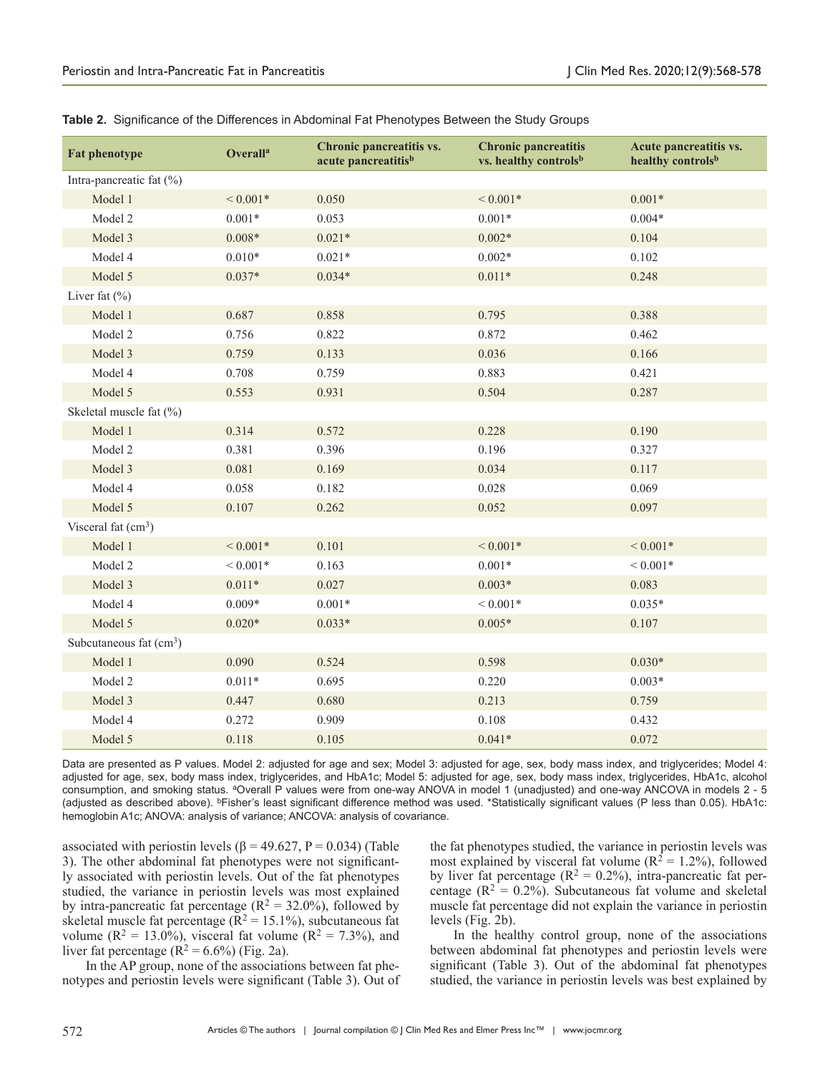| <b>Fat phenotype</b>     | <b>Overalla</b> | Chronic pancreatitis vs.<br>acute pancreatitis <sup>b</sup> | <b>Chronic pancreatitis</b><br>vs. healthy controlsb | Acute pancreatitis vs.<br>healthy controlsb |
|--------------------------|-----------------|-------------------------------------------------------------|------------------------------------------------------|---------------------------------------------|
| Intra-pancreatic fat (%) |                 |                                                             |                                                      |                                             |
| Model 1                  | ${}< 0.001*$    | 0.050                                                       | ${}< 0.001*$                                         | $0.001*$                                    |
| Model 2                  | $0.001*$        | 0.053                                                       | $0.001*$                                             | $0.004*$                                    |
| Model 3                  | $0.008*$        | $0.021*$                                                    | $0.002*$                                             | 0.104                                       |
| Model 4                  | $0.010*$        | $0.021*$                                                    | $0.002*$                                             | 0.102                                       |
| Model 5                  | $0.037*$        | $0.034*$                                                    | $0.011*$                                             | 0.248                                       |
| Liver fat $(\% )$        |                 |                                                             |                                                      |                                             |
| Model 1                  | 0.687           | 0.858                                                       | 0.795                                                | 0.388                                       |
| Model 2                  | 0.756           | 0.822                                                       | 0.872                                                | 0.462                                       |
| Model 3                  | 0.759           | 0.133                                                       | 0.036                                                | 0.166                                       |
| Model 4                  | 0.708           | 0.759                                                       | 0.883                                                | 0.421                                       |
| Model 5                  | 0.553           | 0.931                                                       | 0.504                                                | 0.287                                       |
| Skeletal muscle fat (%)  |                 |                                                             |                                                      |                                             |
| Model 1                  | 0.314           | 0.572                                                       | 0.228                                                | 0.190                                       |
| Model 2                  | 0.381           | 0.396                                                       | 0.196                                                | 0.327                                       |
| Model 3                  | 0.081           | 0.169                                                       | 0.034                                                | 0.117                                       |
| Model 4                  | 0.058           | 0.182                                                       | 0.028                                                | 0.069                                       |
| Model 5                  | 0.107           | 0.262                                                       | 0.052                                                | 0.097                                       |
| Visceral fat $(cm3)$     |                 |                                                             |                                                      |                                             |
| Model 1                  | ${}< 0.001*$    | 0.101                                                       | ${}< 0.001*$                                         | ${}< 0.001*$                                |
| Model 2                  | ${}< 0.001*$    | 0.163                                                       | $0.001*$                                             | ${}< 0.001*$                                |
| Model 3                  | $0.011*$        | 0.027                                                       | $0.003*$                                             | 0.083                                       |
| Model 4                  | $0.009*$        | $0.001*$                                                    | ${}< 0.001*$                                         | $0.035*$                                    |
| Model 5                  | $0.020*$        | $0.033*$                                                    | $0.005*$                                             | 0.107                                       |
| Subcutaneous fat $(cm3)$ |                 |                                                             |                                                      |                                             |
| Model 1                  | 0.090           | 0.524                                                       | 0.598                                                | $0.030*$                                    |
| Model 2                  | $0.011*$        | 0.695                                                       | 0.220                                                | $0.003*$                                    |
| Model 3                  | 0.447           | 0.680                                                       | 0.213                                                | 0.759                                       |
| Model 4                  | 0.272           | 0.909                                                       | 0.108                                                | 0.432                                       |
| Model 5                  | 0.118           | 0.105                                                       | $0.041*$                                             | 0.072                                       |

**Table 2.** Significance of the Differences in Abdominal Fat Phenotypes Between the Study Groups

Data are presented as P values. Model 2: adjusted for age and sex; Model 3: adjusted for age, sex, body mass index, and triglycerides; Model 4: adjusted for age, sex, body mass index, triglycerides, and HbA1c; Model 5: adjusted for age, sex, body mass index, triglycerides, HbA1c, alcohol consumption, and smoking status. <sup>a</sup>Overall P values were from one-way ANOVA in model 1 (unadjusted) and one-way ANCOVA in models 2 - 5 (adjusted as described above). <sup>b</sup>Fisher's least significant difference method was used. \*Statistically significant values (P less than 0.05). HbA1c: hemoglobin A1c; ANOVA: analysis of variance; ANCOVA: analysis of covariance.

associated with periostin levels ( $\beta$  = 49.627, P = 0.034) (Table 3). The other abdominal fat phenotypes were not significantly associated with periostin levels. Out of the fat phenotypes studied, the variance in periostin levels was most explained by intra-pancreatic fat percentage ( $R^2 = 32.0\%$ ), followed by skeletal muscle fat percentage ( $\bar{R}^2 = 15.1\%$ ), subcutaneous fat volume ( $R^2 = 13.0\%$ ), visceral fat volume ( $R^2 = 7.3\%$ ), and liver fat percentage  $(R^2 = 6.6\%)$  (Fig. 2a).

In the AP group, none of the associations between fat phenotypes and periostin levels were significant (Table 3). Out of

the fat phenotypes studied, the variance in periostin levels was most explained by visceral fat volume ( $R^2 = 1.2\%$ ), followed by liver fat percentage ( $\mathbb{R}^2 = 0.2\%$ ), intra-pancreatic fat percentage ( $R^2 = 0.2\%$ ). Subcutaneous fat volume and skeletal muscle fat percentage did not explain the variance in periostin levels (Fig. 2b).

In the healthy control group, none of the associations between abdominal fat phenotypes and periostin levels were significant (Table 3). Out of the abdominal fat phenotypes studied, the variance in periostin levels was best explained by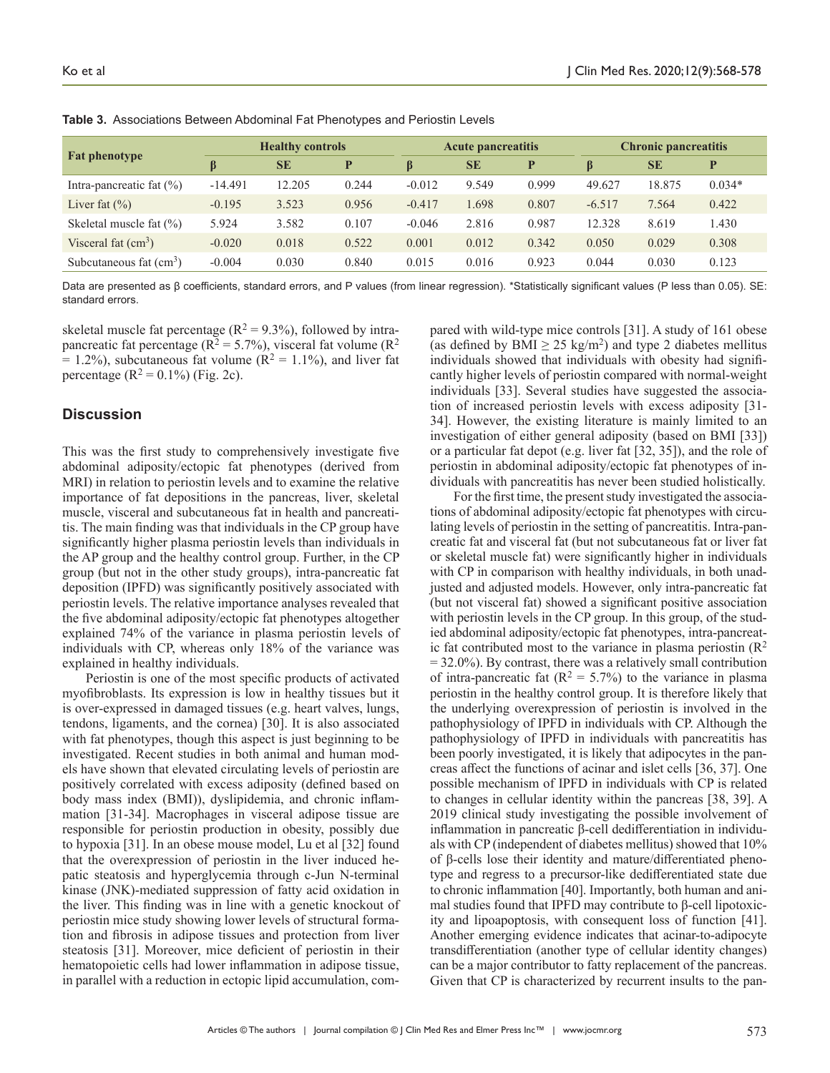| <b>Fat phenotype</b>        | <b>Healthy controls</b> |           | <b>Acute pancreatitis</b> |          | <b>Chronic pancreatitis</b> |       |          |           |          |
|-----------------------------|-------------------------|-----------|---------------------------|----------|-----------------------------|-------|----------|-----------|----------|
|                             |                         | <b>SE</b> | P                         | $\beta$  | <b>SE</b>                   | P     | ß        | <b>SE</b> | D        |
| Intra-pancreatic fat $(\%)$ | $-14.491$               | 12.205    | 0.244                     | $-0.012$ | 9.549                       | 0.999 | 49.627   | 18.875    | $0.034*$ |
| Liver fat $(\% )$           | $-0.195$                | 3.523     | 0.956                     | $-0.417$ | 1.698                       | 0.807 | $-6.517$ | 7.564     | 0.422    |
| Skeletal muscle fat $(\%)$  | 5.924                   | 3.582     | 0.107                     | $-0.046$ | 2.816                       | 0.987 | 12.328   | 8.619     | 1.430    |
| Visceral fat $(cm3)$        | $-0.020$                | 0.018     | 0.522                     | 0.001    | 0.012                       | 0.342 | 0.050    | 0.029     | 0.308    |
| Subcutaneous fat $(cm3)$    | $-0.004$                | 0.030     | 0.840                     | 0.015    | 0.016                       | 0.923 | 0.044    | 0.030     | 0.123    |

**Table 3.** Associations Between Abdominal Fat Phenotypes and Periostin Levels

Data are presented as β coefficients, standard errors, and P values (from linear regression). \*Statistically significant values (P less than 0.05). SE: standard errors.

skeletal muscle fat percentage ( $R^2 = 9.3\%$ ), followed by intrapancreatic fat percentage ( $R^2 = 5.7\%$ ), visceral fat volume ( $R^2$ )  $= 1.2\%$ ), subcutaneous fat volume (R<sup>2</sup> = 1.1%), and liver fat percentage  $(R^2 = 0.1\%)$  (Fig. 2c).

## **Discussion**

This was the first study to comprehensively investigate five abdominal adiposity/ectopic fat phenotypes (derived from MRI) in relation to periostin levels and to examine the relative importance of fat depositions in the pancreas, liver, skeletal muscle, visceral and subcutaneous fat in health and pancreatitis. The main finding was that individuals in the CP group have significantly higher plasma periostin levels than individuals in the AP group and the healthy control group. Further, in the CP group (but not in the other study groups), intra-pancreatic fat deposition (IPFD) was significantly positively associated with periostin levels. The relative importance analyses revealed that the five abdominal adiposity/ectopic fat phenotypes altogether explained 74% of the variance in plasma periostin levels of individuals with CP, whereas only 18% of the variance was explained in healthy individuals.

Periostin is one of the most specific products of activated myofibroblasts. Its expression is low in healthy tissues but it is over-expressed in damaged tissues (e.g. heart valves, lungs, tendons, ligaments, and the cornea) [30]. It is also associated with fat phenotypes, though this aspect is just beginning to be investigated. Recent studies in both animal and human models have shown that elevated circulating levels of periostin are positively correlated with excess adiposity (defined based on body mass index (BMI)), dyslipidemia, and chronic inflammation [31-34]. Macrophages in visceral adipose tissue are responsible for periostin production in obesity, possibly due to hypoxia [31]. In an obese mouse model, Lu et al [32] found that the overexpression of periostin in the liver induced hepatic steatosis and hyperglycemia through c-Jun N-terminal kinase (JNK)-mediated suppression of fatty acid oxidation in the liver. This finding was in line with a genetic knockout of periostin mice study showing lower levels of structural formation and fibrosis in adipose tissues and protection from liver steatosis [31]. Moreover, mice deficient of periostin in their hematopoietic cells had lower inflammation in adipose tissue, in parallel with a reduction in ectopic lipid accumulation, compared with wild-type mice controls [31]. A study of 161 obese (as defined by BMI  $\geq$  25 kg/m<sup>2</sup>) and type 2 diabetes mellitus individuals showed that individuals with obesity had significantly higher levels of periostin compared with normal-weight individuals [33]. Several studies have suggested the association of increased periostin levels with excess adiposity [31- 34]. However, the existing literature is mainly limited to an investigation of either general adiposity (based on BMI [33]) or a particular fat depot (e.g. liver fat [32, 35]), and the role of periostin in abdominal adiposity/ectopic fat phenotypes of individuals with pancreatitis has never been studied holistically.

For the first time, the present study investigated the associations of abdominal adiposity/ectopic fat phenotypes with circulating levels of periostin in the setting of pancreatitis. Intra-pancreatic fat and visceral fat (but not subcutaneous fat or liver fat or skeletal muscle fat) were significantly higher in individuals with CP in comparison with healthy individuals, in both unadjusted and adjusted models. However, only intra-pancreatic fat (but not visceral fat) showed a significant positive association with periostin levels in the CP group. In this group, of the studied abdominal adiposity/ectopic fat phenotypes, intra-pancreatic fat contributed most to the variance in plasma periostin  $(R^2)$  $= 32.0\%$ ). By contrast, there was a relatively small contribution of intra-pancreatic fat ( $R^2 = 5.7%$ ) to the variance in plasma periostin in the healthy control group. It is therefore likely that the underlying overexpression of periostin is involved in the pathophysiology of IPFD in individuals with CP. Although the pathophysiology of IPFD in individuals with pancreatitis has been poorly investigated, it is likely that adipocytes in the pancreas affect the functions of acinar and islet cells [36, 37]. One possible mechanism of IPFD in individuals with CP is related to changes in cellular identity within the pancreas [38, 39]. A 2019 clinical study investigating the possible involvement of inflammation in pancreatic β-cell dedifferentiation in individuals with CP (independent of diabetes mellitus) showed that 10% of β-cells lose their identity and mature/differentiated phenotype and regress to a precursor-like dedifferentiated state due to chronic inflammation [40]. Importantly, both human and animal studies found that IPFD may contribute to β-cell lipotoxicity and lipoapoptosis, with consequent loss of function [41]. Another emerging evidence indicates that acinar-to-adipocyte transdifferentiation (another type of cellular identity changes) can be a major contributor to fatty replacement of the pancreas. Given that CP is characterized by recurrent insults to the pan-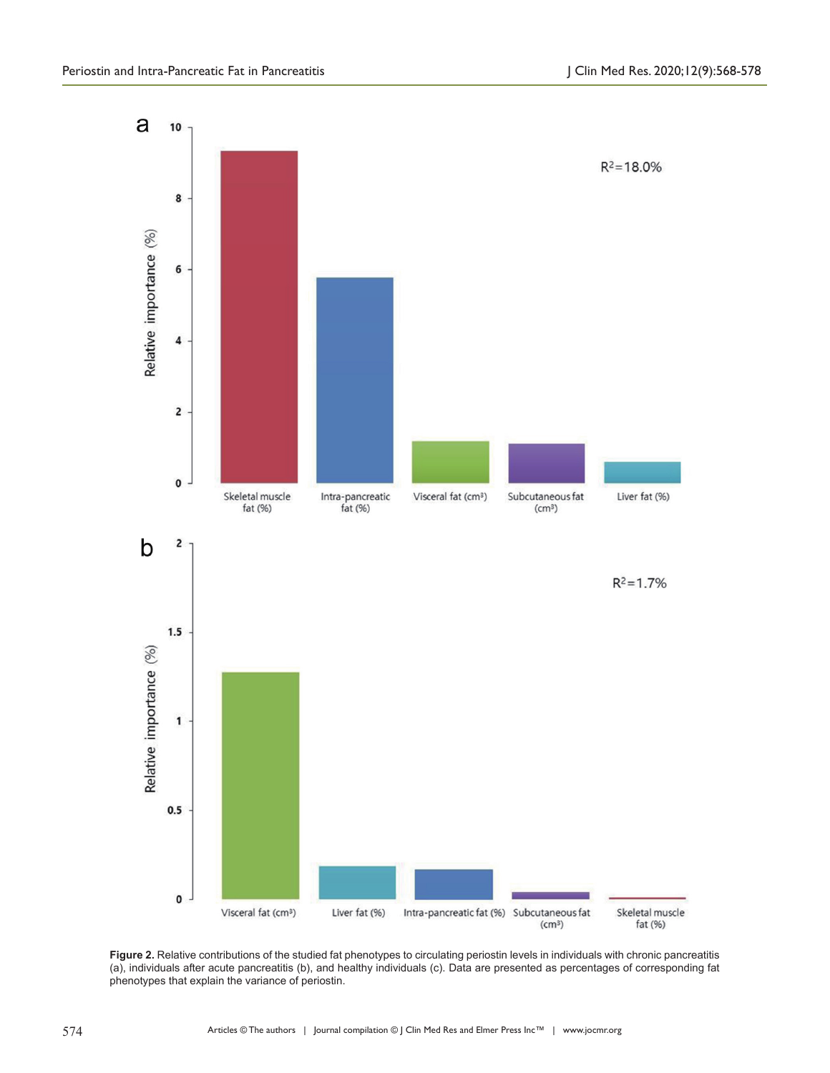

**Figure 2.** Relative contributions of the studied fat phenotypes to circulating periostin levels in individuals with chronic pancreatitis (a), individuals after acute pancreatitis (b), and healthy individuals (c). Data are presented as percentages of corresponding fat phenotypes that explain the variance of periostin.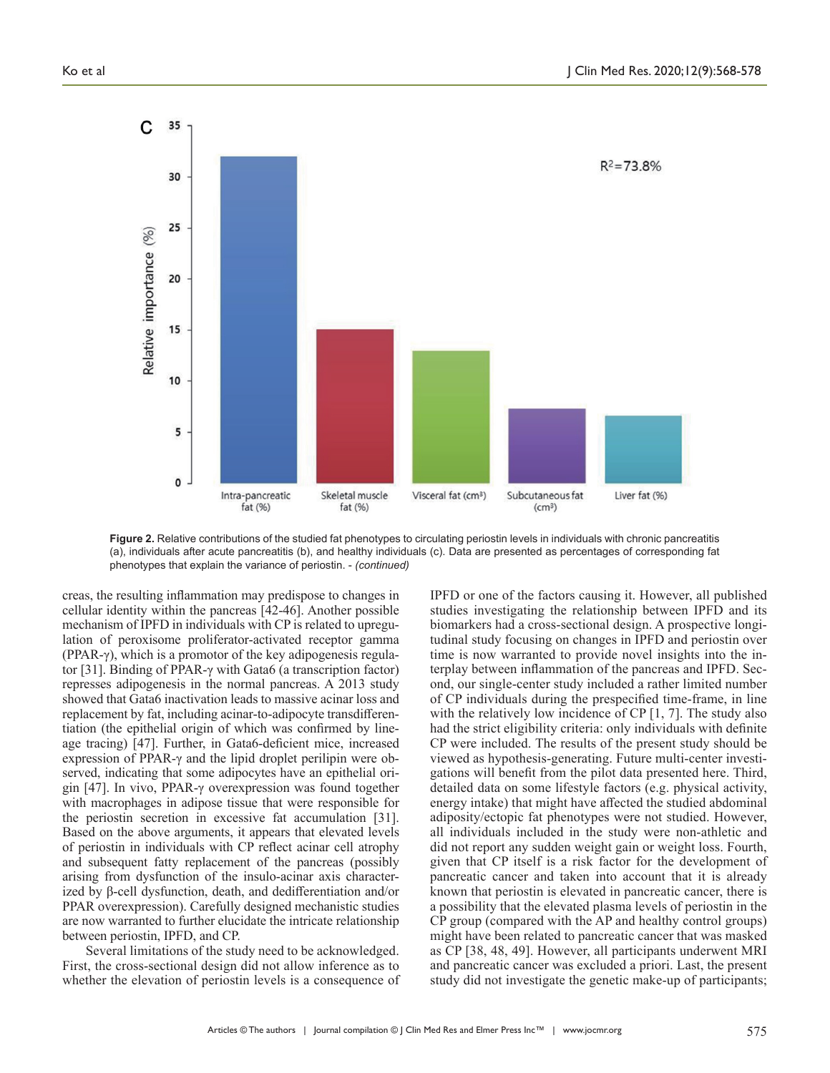

**Figure 2.** Relative contributions of the studied fat phenotypes to circulating periostin levels in individuals with chronic pancreatitis (a), individuals after acute pancreatitis (b), and healthy individuals (c). Data are presented as percentages of corresponding fat phenotypes that explain the variance of periostin. - *(continued)*

creas, the resulting inflammation may predispose to changes in cellular identity within the pancreas [42-46]. Another possible mechanism of IPFD in individuals with CP is related to upregulation of peroxisome proliferator-activated receptor gamma (PPAR-γ), which is a promotor of the key adipogenesis regulator [31]. Binding of PPAR-γ with Gata6 (a transcription factor) represses adipogenesis in the normal pancreas. A 2013 study showed that Gata6 inactivation leads to massive acinar loss and replacement by fat, including acinar-to-adipocyte transdifferentiation (the epithelial origin of which was confirmed by lineage tracing) [47]. Further, in Gata6-deficient mice, increased expression of PPAR-γ and the lipid droplet perilipin were observed, indicating that some adipocytes have an epithelial origin [47]. In vivo, PPAR-γ overexpression was found together with macrophages in adipose tissue that were responsible for the periostin secretion in excessive fat accumulation [31]. Based on the above arguments, it appears that elevated levels of periostin in individuals with CP reflect acinar cell atrophy and subsequent fatty replacement of the pancreas (possibly arising from dysfunction of the insulo-acinar axis characterized by β-cell dysfunction, death, and dedifferentiation and/or PPAR overexpression). Carefully designed mechanistic studies are now warranted to further elucidate the intricate relationship between periostin, IPFD, and CP.

Several limitations of the study need to be acknowledged. First, the cross-sectional design did not allow inference as to whether the elevation of periostin levels is a consequence of IPFD or one of the factors causing it. However, all published studies investigating the relationship between IPFD and its biomarkers had a cross-sectional design. A prospective longitudinal study focusing on changes in IPFD and periostin over time is now warranted to provide novel insights into the interplay between inflammation of the pancreas and IPFD. Second, our single-center study included a rather limited number of CP individuals during the prespecified time-frame, in line with the relatively low incidence of CP [1, 7]. The study also had the strict eligibility criteria: only individuals with definite CP were included. The results of the present study should be viewed as hypothesis-generating. Future multi-center investigations will benefit from the pilot data presented here. Third, detailed data on some lifestyle factors (e.g. physical activity, energy intake) that might have affected the studied abdominal adiposity/ectopic fat phenotypes were not studied. However, all individuals included in the study were non-athletic and did not report any sudden weight gain or weight loss. Fourth, given that CP itself is a risk factor for the development of pancreatic cancer and taken into account that it is already known that periostin is elevated in pancreatic cancer, there is a possibility that the elevated plasma levels of periostin in the CP group (compared with the AP and healthy control groups) might have been related to pancreatic cancer that was masked as CP [38, 48, 49]. However, all participants underwent MRI and pancreatic cancer was excluded a priori. Last, the present study did not investigate the genetic make-up of participants;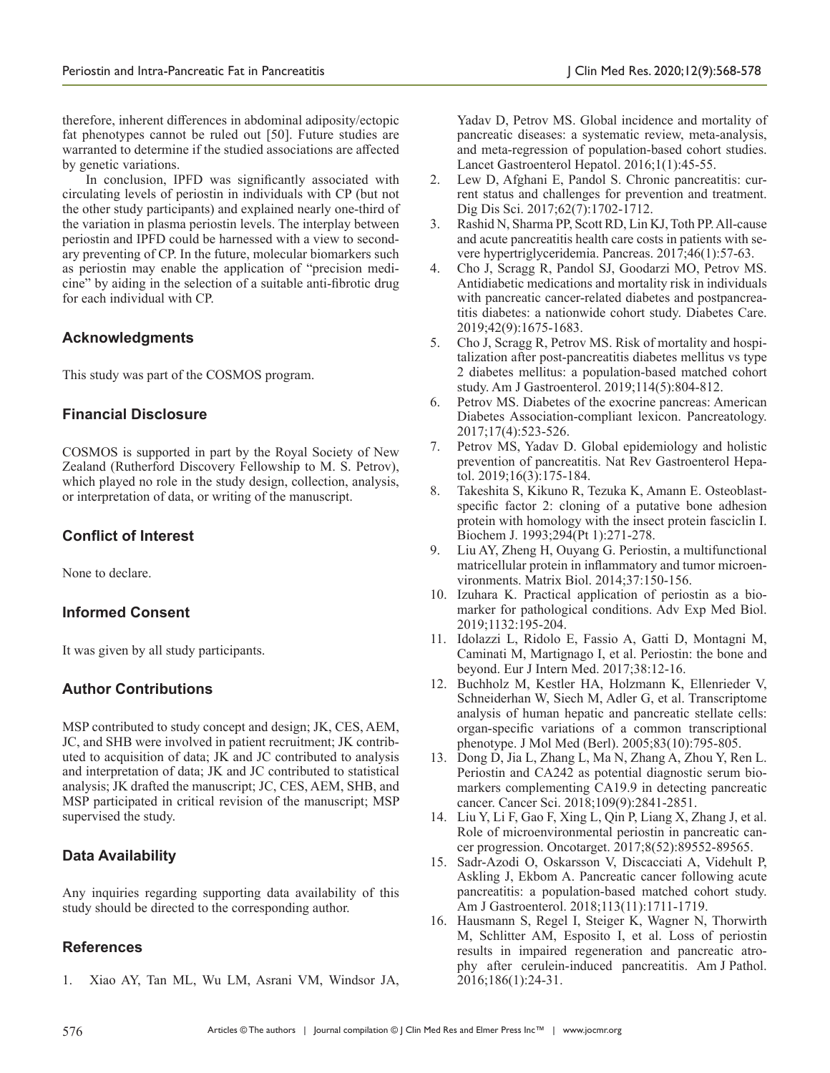therefore, inherent differences in abdominal adiposity/ectopic fat phenotypes cannot be ruled out [50]. Future studies are warranted to determine if the studied associations are affected by genetic variations.

In conclusion, IPFD was significantly associated with circulating levels of periostin in individuals with CP (but not the other study participants) and explained nearly one-third of the variation in plasma periostin levels. The interplay between periostin and IPFD could be harnessed with a view to secondary preventing of CP. In the future, molecular biomarkers such as periostin may enable the application of "precision medicine" by aiding in the selection of a suitable anti-fibrotic drug for each individual with CP.

# **Acknowledgments**

This study was part of the COSMOS program.

# **Financial Disclosure**

COSMOS is supported in part by the Royal Society of New Zealand (Rutherford Discovery Fellowship to M. S. Petrov), which played no role in the study design, collection, analysis, or interpretation of data, or writing of the manuscript.

# **Conflict of Interest**

None to declare.

# **Informed Consent**

It was given by all study participants.

# **Author Contributions**

MSP contributed to study concept and design; JK, CES, AEM, JC, and SHB were involved in patient recruitment; JK contributed to acquisition of data; JK and JC contributed to analysis and interpretation of data; JK and JC contributed to statistical analysis; JK drafted the manuscript; JC, CES, AEM, SHB, and MSP participated in critical revision of the manuscript; MSP supervised the study.

# **Data Availability**

Any inquiries regarding supporting data availability of this study should be directed to the corresponding author.

# **References**

1. Xiao AY, Tan ML, Wu LM, Asrani VM, Windsor JA,

Yadav D, Petrov MS. Global incidence and mortality of pancreatic diseases: a systematic review, meta-analysis, and meta-regression of population-based cohort studies. Lancet Gastroenterol Hepatol. 2016;1(1):45-55.

- 2. Lew D, Afghani E, Pandol S. Chronic pancreatitis: current status and challenges for prevention and treatment. Dig Dis Sci. 2017;62(7):1702-1712.
- 3. Rashid N, Sharma PP, Scott RD, Lin KJ, Toth PP. All-cause and acute pancreatitis health care costs in patients with severe hypertriglyceridemia. Pancreas. 2017;46(1):57-63.
- 4. Cho J, Scragg R, Pandol SJ, Goodarzi MO, Petrov MS. Antidiabetic medications and mortality risk in individuals with pancreatic cancer-related diabetes and postpancreatitis diabetes: a nationwide cohort study. Diabetes Care. 2019;42(9):1675-1683.
- 5. Cho J, Scragg R, Petrov MS. Risk of mortality and hospitalization after post-pancreatitis diabetes mellitus vs type 2 diabetes mellitus: a population-based matched cohort study. Am J Gastroenterol. 2019;114(5):804-812.
- 6. Petrov MS. Diabetes of the exocrine pancreas: American Diabetes Association-compliant lexicon. Pancreatology. 2017;17(4):523-526.
- 7. Petrov MS, Yadav D. Global epidemiology and holistic prevention of pancreatitis. Nat Rev Gastroenterol Hepatol. 2019;16(3):175-184.
- 8. Takeshita S, Kikuno R, Tezuka K, Amann E. Osteoblastspecific factor 2: cloning of a putative bone adhesion protein with homology with the insect protein fasciclin I. Biochem J. 1993;294(Pt 1):271-278.
- 9. Liu AY, Zheng H, Ouyang G. Periostin, a multifunctional matricellular protein in inflammatory and tumor microenvironments. Matrix Biol. 2014;37:150-156.
- 10. Izuhara K. Practical application of periostin as a biomarker for pathological conditions. Adv Exp Med Biol. 2019;1132:195-204.
- 11. Idolazzi L, Ridolo E, Fassio A, Gatti D, Montagni M, Caminati M, Martignago I, et al. Periostin: the bone and beyond. Eur J Intern Med. 2017;38:12-16.
- 12. Buchholz M, Kestler HA, Holzmann K, Ellenrieder V, Schneiderhan W, Siech M, Adler G, et al. Transcriptome analysis of human hepatic and pancreatic stellate cells: organ-specific variations of a common transcriptional phenotype. J Mol Med (Berl). 2005;83(10):795-805.
- 13. Dong D, Jia L, Zhang L, Ma N, Zhang A, Zhou Y, Ren L. Periostin and CA242 as potential diagnostic serum biomarkers complementing CA19.9 in detecting pancreatic cancer. Cancer Sci. 2018;109(9):2841-2851.
- 14. Liu Y, Li F, Gao F, Xing L, Qin P, Liang X, Zhang J, et al. Role of microenvironmental periostin in pancreatic cancer progression. Oncotarget. 2017;8(52):89552-89565.
- 15. Sadr-Azodi O, Oskarsson V, Discacciati A, Videhult P, Askling J, Ekbom A. Pancreatic cancer following acute pancreatitis: a population-based matched cohort study. Am J Gastroenterol. 2018;113(11):1711-1719.
- 16. Hausmann S, Regel I, Steiger K, Wagner N, Thorwirth M, Schlitter AM, Esposito I, et al. Loss of periostin results in impaired regeneration and pancreatic atrophy after cerulein-induced pancreatitis. Am J Pathol. 2016;186(1):24-31.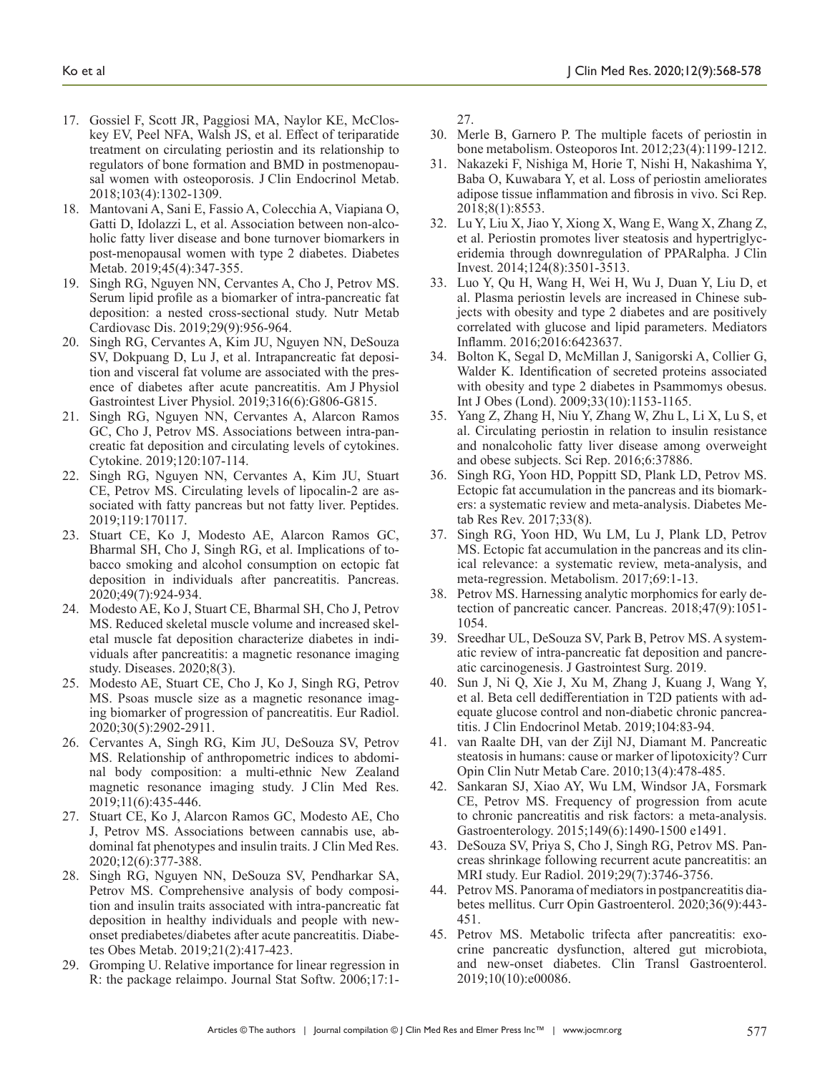- 17. Gossiel F, Scott JR, Paggiosi MA, Naylor KE, McCloskey EV, Peel NFA, Walsh JS, et al. Effect of teriparatide treatment on circulating periostin and its relationship to regulators of bone formation and BMD in postmenopausal women with osteoporosis. J Clin Endocrinol Metab. 2018;103(4):1302-1309.
- 18. Mantovani A, Sani E, Fassio A, Colecchia A, Viapiana O, Gatti D, Idolazzi L, et al. Association between non-alcoholic fatty liver disease and bone turnover biomarkers in post-menopausal women with type 2 diabetes. Diabetes Metab. 2019;45(4):347-355.
- 19. Singh RG, Nguyen NN, Cervantes A, Cho J, Petrov MS. Serum lipid profile as a biomarker of intra-pancreatic fat deposition: a nested cross-sectional study. Nutr Metab Cardiovasc Dis. 2019;29(9):956-964.
- 20. Singh RG, Cervantes A, Kim JU, Nguyen NN, DeSouza SV, Dokpuang D, Lu J, et al. Intrapancreatic fat deposition and visceral fat volume are associated with the presence of diabetes after acute pancreatitis. Am J Physiol Gastrointest Liver Physiol. 2019;316(6):G806-G815.
- 21. Singh RG, Nguyen NN, Cervantes A, Alarcon Ramos GC, Cho J, Petrov MS. Associations between intra-pancreatic fat deposition and circulating levels of cytokines. Cytokine. 2019;120:107-114.
- 22. Singh RG, Nguyen NN, Cervantes A, Kim JU, Stuart CE, Petrov MS. Circulating levels of lipocalin-2 are associated with fatty pancreas but not fatty liver. Peptides. 2019;119:170117.
- 23. Stuart CE, Ko J, Modesto AE, Alarcon Ramos GC, Bharmal SH, Cho J, Singh RG, et al. Implications of tobacco smoking and alcohol consumption on ectopic fat deposition in individuals after pancreatitis. Pancreas. 2020;49(7):924-934.
- 24. Modesto AE, Ko J, Stuart CE, Bharmal SH, Cho J, Petrov MS. Reduced skeletal muscle volume and increased skeletal muscle fat deposition characterize diabetes in individuals after pancreatitis: a magnetic resonance imaging study. Diseases. 2020;8(3).
- 25. Modesto AE, Stuart CE, Cho J, Ko J, Singh RG, Petrov MS. Psoas muscle size as a magnetic resonance imaging biomarker of progression of pancreatitis. Eur Radiol. 2020;30(5):2902-2911.
- 26. Cervantes A, Singh RG, Kim JU, DeSouza SV, Petrov MS. Relationship of anthropometric indices to abdominal body composition: a multi-ethnic New Zealand magnetic resonance imaging study. J Clin Med Res. 2019;11(6):435-446.
- 27. Stuart CE, Ko J, Alarcon Ramos GC, Modesto AE, Cho J, Petrov MS. Associations between cannabis use, abdominal fat phenotypes and insulin traits. J Clin Med Res. 2020;12(6):377-388.
- 28. Singh RG, Nguyen NN, DeSouza SV, Pendharkar SA, Petrov MS. Comprehensive analysis of body composition and insulin traits associated with intra-pancreatic fat deposition in healthy individuals and people with newonset prediabetes/diabetes after acute pancreatitis. Diabetes Obes Metab. 2019;21(2):417-423.
- 29. Gromping U. Relative importance for linear regression in R: the package relaimpo. Journal Stat Softw. 2006;17:1-

27.

- 30. Merle B, Garnero P. The multiple facets of periostin in bone metabolism. Osteoporos Int. 2012;23(4):1199-1212.
- 31. Nakazeki F, Nishiga M, Horie T, Nishi H, Nakashima Y, Baba O, Kuwabara Y, et al. Loss of periostin ameliorates adipose tissue inflammation and fibrosis in vivo. Sci Rep. 2018;8(1):8553.
- 32. Lu Y, Liu X, Jiao Y, Xiong X, Wang E, Wang X, Zhang Z, et al. Periostin promotes liver steatosis and hypertriglyceridemia through downregulation of PPARalpha. J Clin Invest. 2014;124(8):3501-3513.
- 33. Luo Y, Qu H, Wang H, Wei H, Wu J, Duan Y, Liu D, et al. Plasma periostin levels are increased in Chinese subjects with obesity and type 2 diabetes and are positively correlated with glucose and lipid parameters. Mediators Inflamm. 2016;2016:6423637.
- 34. Bolton K, Segal D, McMillan J, Sanigorski A, Collier G, Walder K. Identification of secreted proteins associated with obesity and type 2 diabetes in Psammomys obesus. Int J Obes (Lond). 2009;33(10):1153-1165.
- 35. Yang Z, Zhang H, Niu Y, Zhang W, Zhu L, Li X, Lu S, et al. Circulating periostin in relation to insulin resistance and nonalcoholic fatty liver disease among overweight and obese subjects. Sci Rep. 2016;6:37886.
- 36. Singh RG, Yoon HD, Poppitt SD, Plank LD, Petrov MS. Ectopic fat accumulation in the pancreas and its biomarkers: a systematic review and meta-analysis. Diabetes Metab Res Rev. 2017;33(8).
- 37. Singh RG, Yoon HD, Wu LM, Lu J, Plank LD, Petrov MS. Ectopic fat accumulation in the pancreas and its clinical relevance: a systematic review, meta-analysis, and meta-regression. Metabolism. 2017;69:1-13.
- 38. Petrov MS. Harnessing analytic morphomics for early detection of pancreatic cancer. Pancreas. 2018;47(9):1051- 1054.
- 39. Sreedhar UL, DeSouza SV, Park B, Petrov MS. A systematic review of intra-pancreatic fat deposition and pancreatic carcinogenesis. J Gastrointest Surg. 2019.
- 40. Sun J, Ni Q, Xie J, Xu M, Zhang J, Kuang J, Wang Y, et al. Beta cell dedifferentiation in T2D patients with adequate glucose control and non-diabetic chronic pancreatitis. J Clin Endocrinol Metab. 2019;104:83-94.
- 41. van Raalte DH, van der Zijl NJ, Diamant M. Pancreatic steatosis in humans: cause or marker of lipotoxicity? Curr Opin Clin Nutr Metab Care. 2010;13(4):478-485.
- 42. Sankaran SJ, Xiao AY, Wu LM, Windsor JA, Forsmark CE, Petrov MS. Frequency of progression from acute to chronic pancreatitis and risk factors: a meta-analysis. Gastroenterology. 2015;149(6):1490-1500 e1491.
- 43. DeSouza SV, Priya S, Cho J, Singh RG, Petrov MS. Pancreas shrinkage following recurrent acute pancreatitis: an MRI study. Eur Radiol. 2019;29(7):3746-3756.
- 44. Petrov MS. Panorama of mediators in postpancreatitis diabetes mellitus. Curr Opin Gastroenterol. 2020;36(9):443- 451.
- 45. Petrov MS. Metabolic trifecta after pancreatitis: exocrine pancreatic dysfunction, altered gut microbiota, and new-onset diabetes. Clin Transl Gastroenterol. 2019;10(10):e00086.